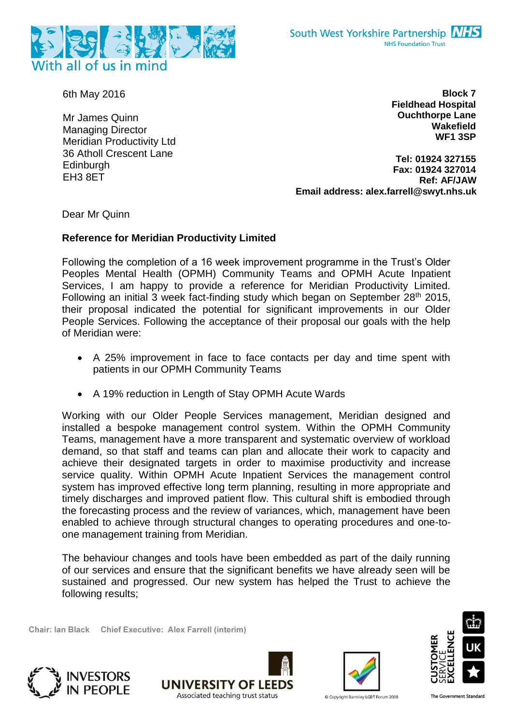

6th May 2016

Mr James Quinn Managing Director Meridian Productivity Ltd 36 Atholl Crescent Lane **Edinburgh** EH3 8ET

**Block 7 Fieldhead Hospital Ouchthorpe Lane Wakefield WF1 3SP**

**Tel: 01924 327155 Fax: 01924 327014 Ref: AF/JAW Email address: alex.farrell@swyt.nhs.uk**

Dear Mr Quinn

## **Reference for Meridian Productivity Limited**

Following the completion of a 16 week improvement programme in the Trust's Older Peoples Mental Health (OPMH) Community Teams and OPMH Acute Inpatient Services, I am happy to provide a reference for Meridian Productivity Limited. Following an initial 3 week fact-finding study which began on September 28<sup>th</sup> 2015, their proposal indicated the potential for significant improvements in our Older People Services. Following the acceptance of their proposal our goals with the help of Meridian were:

- A 25% improvement in face to face contacts per day and time spent with patients in our OPMH Community Teams
- A 19% reduction in Length of Stay OPMH Acute Wards

Working with our Older People Services management, Meridian designed and installed a bespoke management control system. Within the OPMH Community Teams, management have a more transparent and systematic overview of workload demand, so that staff and teams can plan and allocate their work to capacity and achieve their designated targets in order to maximise productivity and increase service quality. Within OPMH Acute Inpatient Services the management control system has improved effective long term planning, resulting in more appropriate and timely discharges and improved patient flow. This cultural shift is embodied through the forecasting process and the review of variances, which, management have been enabled to achieve through structural changes to operating procedures and one-toone management training from Meridian.

The behaviour changes and tools have been embedded as part of the daily running of our services and ensure that the significant benefits we have already seen will be sustained and progressed. Our new system has helped the Trust to achieve the following results;

Chair: Ian Black Chief Executive: Alex Farrell (interim)









© Copyright Barnsley LGBT Forum 2008

The Government Standard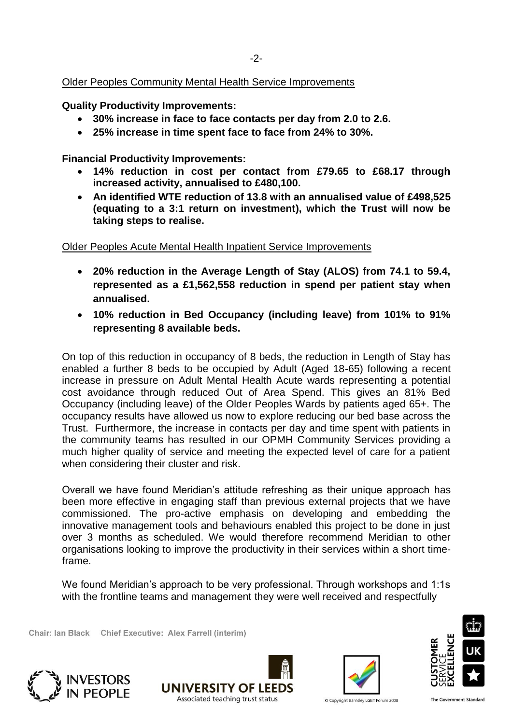## Older Peoples Community Mental Health Service Improvements

**Quality Productivity Improvements:**

- **30% increase in face to face contacts per day from 2.0 to 2.6.**
- **25% increase in time spent face to face from 24% to 30%.**

**Financial Productivity Improvements:**

- **14% reduction in cost per contact from £79.65 to £68.17 through increased activity, annualised to £480,100.**
- **An identified WTE reduction of 13.8 with an annualised value of £498,525 (equating to a 3:1 return on investment), which the Trust will now be taking steps to realise.**

Older Peoples Acute Mental Health Inpatient Service Improvements

- **20% reduction in the Average Length of Stay (ALOS) from 74.1 to 59.4, represented as a £1,562,558 reduction in spend per patient stay when annualised.**
- **10% reduction in Bed Occupancy (including leave) from 101% to 91% representing 8 available beds.**

On top of this reduction in occupancy of 8 beds, the reduction in Length of Stay has enabled a further 8 beds to be occupied by Adult (Aged 18-65) following a recent increase in pressure on Adult Mental Health Acute wards representing a potential cost avoidance through reduced Out of Area Spend. This gives an 81% Bed Occupancy (including leave) of the Older Peoples Wards by patients aged 65+. The occupancy results have allowed us now to explore reducing our bed base across the Trust. Furthermore, the increase in contacts per day and time spent with patients in the community teams has resulted in our OPMH Community Services providing a much higher quality of service and meeting the expected level of care for a patient when considering their cluster and risk.

Overall we have found Meridian's attitude refreshing as their unique approach has been more effective in engaging staff than previous external projects that we have commissioned. The pro-active emphasis on developing and embedding the innovative management tools and behaviours enabled this project to be done in just over 3 months as scheduled. We would therefore recommend Meridian to other organisations looking to improve the productivity in their services within a short timeframe.

We found Meridian's approach to be very professional. Through workshops and 1:1s with the frontline teams and management they were well received and respectfully

Chair: Ian Black Chief Executive: Alex Farrell (interim)









Copyright Barnsley LGBT Forum 2008

The Government Standard